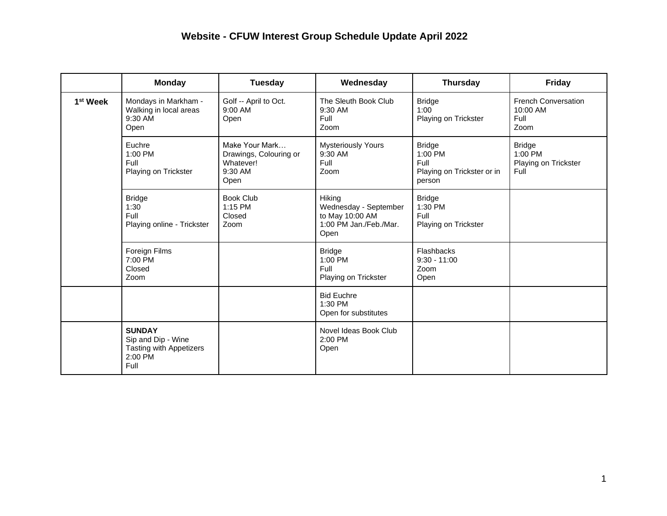## **Website - CFUW Interest Group Schedule Update April 2022**

|                      | <b>Monday</b>                                                                            | Tuesday                                                                  | Wednesday                                                                            | <b>Thursday</b>                                                            | <b>Friday</b>                                            |
|----------------------|------------------------------------------------------------------------------------------|--------------------------------------------------------------------------|--------------------------------------------------------------------------------------|----------------------------------------------------------------------------|----------------------------------------------------------|
| 1 <sup>st</sup> Week | Mondays in Markham -<br>Walking in local areas<br>9:30 AM<br>Open                        | Golf -- April to Oct.<br>9:00 AM<br>Open                                 | The Sleuth Book Club<br>9:30 AM<br>Full<br>Zoom                                      | <b>Bridge</b><br>1:00<br>Playing on Trickster                              | <b>French Conversation</b><br>10:00 AM<br>Full<br>Zoom   |
|                      | Euchre<br>1:00 PM<br>Full<br>Playing on Trickster                                        | Make Your Mark<br>Drawings, Colouring or<br>Whatever!<br>9:30 AM<br>Open | <b>Mysteriously Yours</b><br>9:30 AM<br>Full<br>Zoom                                 | <b>Bridge</b><br>$1:00$ PM<br>Full<br>Playing on Trickster or in<br>person | <b>Bridge</b><br>1:00 PM<br>Playing on Trickster<br>Full |
|                      | <b>Bridge</b><br>1:30<br>Full<br>Playing online - Trickster                              | <b>Book Club</b><br>1:15 PM<br>Closed<br>Zoom                            | Hiking<br>Wednesday - September<br>to May 10:00 AM<br>1:00 PM Jan./Feb./Mar.<br>Open | <b>Bridge</b><br>1:30 PM<br>Full<br>Playing on Trickster                   |                                                          |
|                      | Foreign Films<br>7:00 PM<br>Closed<br>Zoom                                               |                                                                          | <b>Bridge</b><br>1:00 PM<br>Full<br>Playing on Trickster                             | Flashbacks<br>$9:30 - 11:00$<br>Zoom<br>Open                               |                                                          |
|                      |                                                                                          |                                                                          | <b>Bid Euchre</b><br>1:30 PM<br>Open for substitutes                                 |                                                                            |                                                          |
|                      | <b>SUNDAY</b><br>Sip and Dip - Wine<br><b>Tasting with Appetizers</b><br>2:00 PM<br>Full |                                                                          | Novel Ideas Book Club<br>$2:00$ PM<br>Open                                           |                                                                            |                                                          |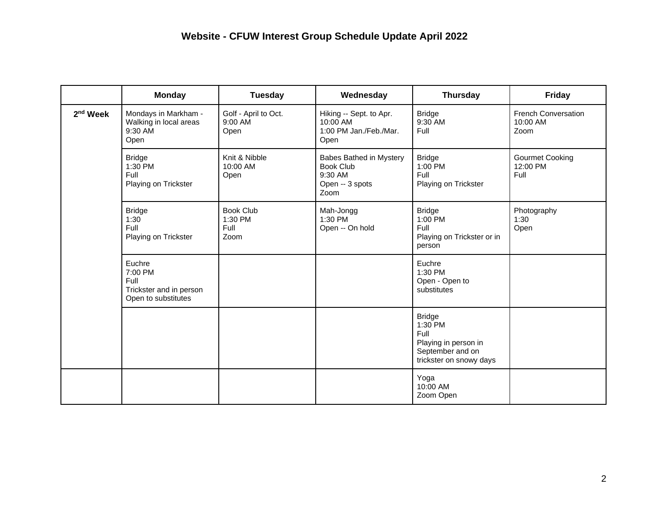|                      | <b>Monday</b>                                                               | Tuesday                                     | Wednesday                                                                         | <b>Thursday</b>                                                                                         | <b>Friday</b>                                  |
|----------------------|-----------------------------------------------------------------------------|---------------------------------------------|-----------------------------------------------------------------------------------|---------------------------------------------------------------------------------------------------------|------------------------------------------------|
| 2 <sup>nd</sup> Week | Mondays in Markham -<br>Walking in local areas<br>9:30 AM<br>Open           | Golf - April to Oct.<br>9:00 AM<br>Open     | Hiking -- Sept. to Apr.<br>10:00 AM<br>1:00 PM Jan./Feb./Mar.<br>Open             | <b>Bridge</b><br>9:30 AM<br>Full                                                                        | <b>French Conversation</b><br>10:00 AM<br>Zoom |
|                      | <b>Bridge</b><br>1:30 PM<br>Full<br>Playing on Trickster                    | Knit & Nibble<br>10:00 AM<br>Open           | Babes Bathed in Mystery<br><b>Book Club</b><br>9:30 AM<br>Open -- 3 spots<br>Zoom | <b>Bridge</b><br>1:00 PM<br>Full<br>Playing on Trickster                                                | <b>Gourmet Cooking</b><br>12:00 PM<br>Full     |
|                      | <b>Bridge</b><br>1:30<br>Full<br>Playing on Trickster                       | <b>Book Club</b><br>1:30 PM<br>Full<br>Zoom | Mah-Jongg<br>1:30 PM<br>Open -- On hold                                           | <b>Bridge</b><br>1:00 PM<br>Full<br>Playing on Trickster or in<br>person                                | Photography<br>1:30<br>Open                    |
|                      | Euchre<br>7:00 PM<br>Full<br>Trickster and in person<br>Open to substitutes |                                             |                                                                                   | Euchre<br>1:30 PM<br>Open - Open to<br>substitutes                                                      |                                                |
|                      |                                                                             |                                             |                                                                                   | <b>Bridge</b><br>1:30 PM<br>Full<br>Playing in person in<br>September and on<br>trickster on snowy days |                                                |
|                      |                                                                             |                                             |                                                                                   | Yoga<br>10:00 AM<br>Zoom Open                                                                           |                                                |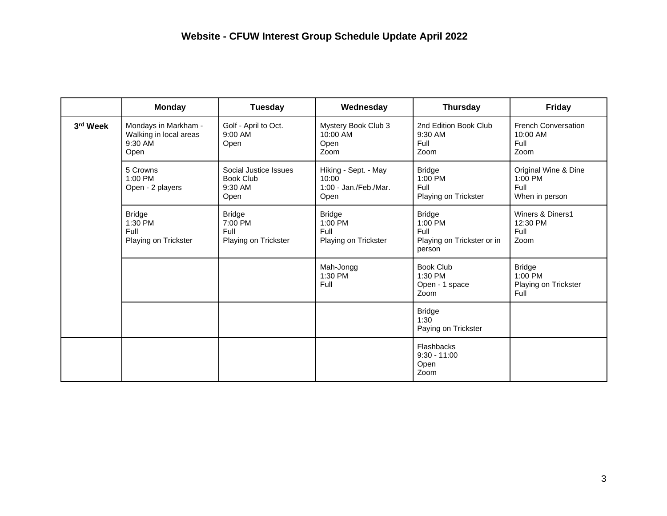|          | <b>Monday</b>                                                     | <b>Tuesday</b>                                           | Wednesday                                                      | <b>Thursday</b>                                                          | Friday                                                      |
|----------|-------------------------------------------------------------------|----------------------------------------------------------|----------------------------------------------------------------|--------------------------------------------------------------------------|-------------------------------------------------------------|
| 3rd Week | Mondays in Markham -<br>Walking in local areas<br>9:30 AM<br>Open | Golf - April to Oct.<br>$9:00$ AM<br>Open                | Mystery Book Club 3<br>10:00 AM<br>Open<br>Zoom                | 2nd Edition Book Club<br>9:30 AM<br>Full<br>Zoom                         | <b>French Conversation</b><br>10:00 AM<br>Full<br>Zoom      |
|          | 5 Crowns<br>1:00 PM<br>Open - 2 players                           | Social Justice Issues<br>Book Club<br>9:30 AM<br>Open    | Hiking - Sept. - May<br>10:00<br>1:00 - Jan./Feb./Mar.<br>Open | <b>Bridge</b><br>$1:00$ PM<br>Full<br>Playing on Trickster               | Original Wine & Dine<br>$1:00$ PM<br>Full<br>When in person |
|          | <b>Bridge</b><br>1:30 PM<br>Full<br>Playing on Trickster          | <b>Bridge</b><br>7:00 PM<br>Full<br>Playing on Trickster | <b>Bridge</b><br>1:00 PM<br>Full<br>Playing on Trickster       | <b>Bridge</b><br>1:00 PM<br>Full<br>Playing on Trickster or in<br>person | Winers & Diners1<br>12:30 PM<br>Full<br>Zoom                |
|          |                                                                   |                                                          | Mah-Jongg<br>1:30 PM<br>Full                                   | <b>Book Club</b><br>1:30 PM<br>Open - 1 space<br>Zoom                    | <b>Bridge</b><br>1:00 PM<br>Playing on Trickster<br>Full    |
|          |                                                                   |                                                          |                                                                | <b>Bridge</b><br>1:30<br>Paying on Trickster                             |                                                             |
|          |                                                                   |                                                          |                                                                | Flashbacks<br>$9:30 - 11:00$<br>Open<br>Zoom                             |                                                             |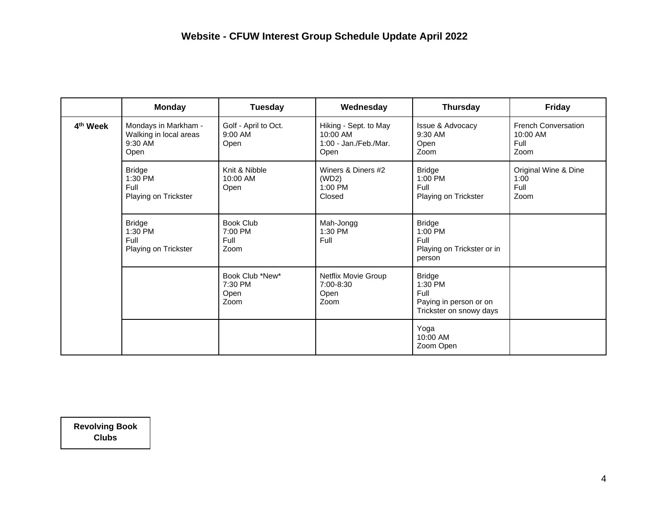|                      | <b>Monday</b>                                                     | <b>Tuesday</b>                              | Wednesday                                                          | <b>Thursday</b>                                                                       | <b>Friday</b>                                            |
|----------------------|-------------------------------------------------------------------|---------------------------------------------|--------------------------------------------------------------------|---------------------------------------------------------------------------------------|----------------------------------------------------------|
| 4 <sup>th</sup> Week | Mondays in Markham -<br>Walking in local areas<br>9:30 AM<br>Open | Golf - April to Oct.<br>$9:00$ AM<br>Open   | Hiking - Sept. to May<br>10:00 AM<br>1:00 - Jan./Feb./Mar.<br>Open | Issue & Advocacy<br>9:30 AM<br>Open<br>Zoom                                           | <b>French Conversation</b><br>$10:00$ AM<br>Full<br>Zoom |
|                      | <b>Bridge</b><br>1:30 PM<br>Full<br>Playing on Trickster          | Knit & Nibble<br>10:00 AM<br>Open           | Winers & Diners #2<br>(WD2)<br>1:00 PM<br>Closed                   | <b>Bridge</b><br>1:00 PM<br>Full<br>Playing on Trickster                              | Original Wine & Dine<br>1:00<br>Full<br>Zoom             |
|                      | <b>Bridge</b><br>1:30 PM<br>Full<br>Playing on Trickster          | <b>Book Club</b><br>7:00 PM<br>Full<br>Zoom | Mah-Jongg<br>1:30 PM<br>Full                                       | <b>Bridge</b><br>1:00 PM<br>Full<br>Playing on Trickster or in<br>person              |                                                          |
|                      |                                                                   | Book Club *New*<br>7:30 PM<br>Open<br>Zoom  | Netflix Movie Group<br>7:00-8:30<br>Open<br>Zoom                   | <b>Bridge</b><br>1:30 PM<br>Full<br>Paying in person or on<br>Trickster on snowy days |                                                          |
|                      |                                                                   |                                             |                                                                    | Yoga<br>10:00 AM<br>Zoom Open                                                         |                                                          |

**Revolving Book Clubs**